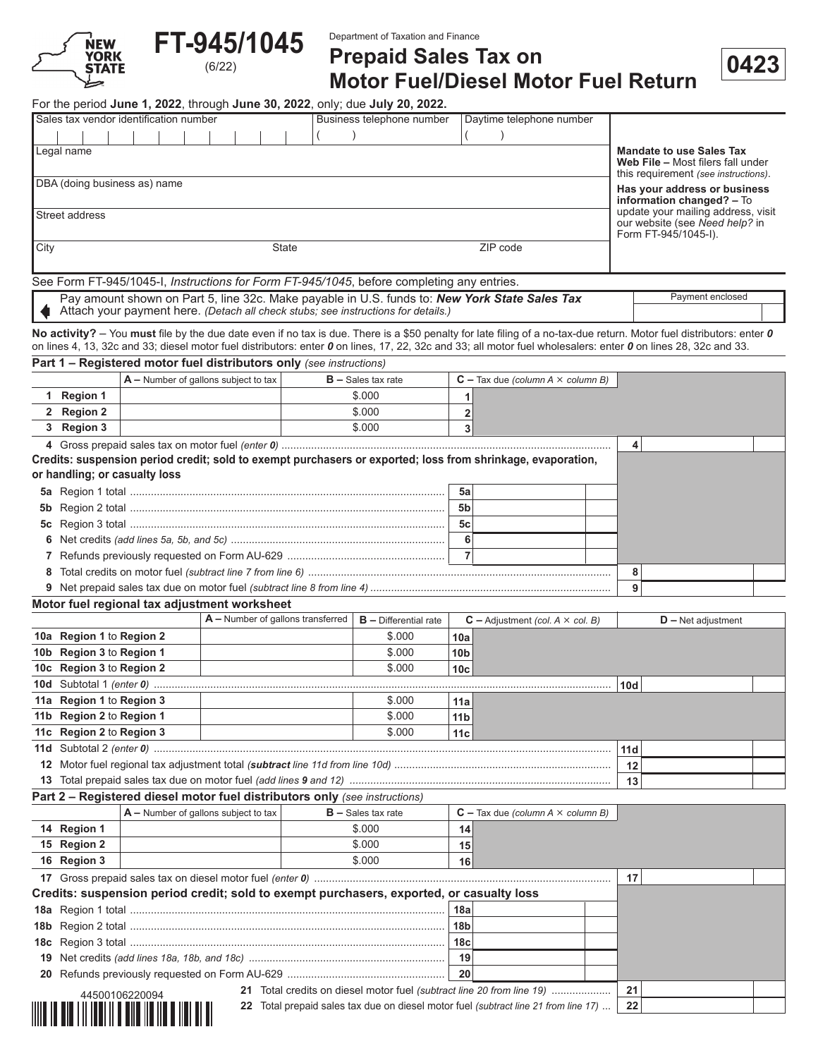

**FT-945/1045** 

Department of Taxation and Finance

## **Prepaid Sales Tax on Motor Fuel/Diesel Motor Fuel Return** (6/22) **0423**

For the period **June 1, 2022**, through **June 30, 2022**, only; due **July 20, 2022.**

| Sales tax vendor identification number                                                            |       | Daytime telephone number |          |                                                                                                              |
|---------------------------------------------------------------------------------------------------|-------|--------------------------|----------|--------------------------------------------------------------------------------------------------------------|
|                                                                                                   |       |                          |          |                                                                                                              |
| Legal name                                                                                        |       |                          |          | <b>Mandate to use Sales Tax</b><br>Web File - Most filers fall under<br>this requirement (see instructions). |
| DBA (doing business as) name                                                                      |       |                          |          | Has your address or business<br>information changed? - To                                                    |
| Street address                                                                                    |       |                          |          | update your mailing address, visit<br>our website (see Need help? in<br>Form FT-945/1045-I).                 |
| City                                                                                              | State |                          | ZIP code |                                                                                                              |
| See Form FT-945/1045-I, <i>Instructions for Form FT-945/1045</i> , before completing any entries. |       |                          |          |                                                                                                              |

| Pay amount shown on Part 5, line 32c. Make payable in U.S. funds to: <b>New York State Sales Tax</b> | Pavment enclosed |
|------------------------------------------------------------------------------------------------------|------------------|
| Attach your payment here. (Detach all check stubs; see instructions for details.)                    |                  |

**Part 1 – Registered motor fuel distributors only** *(see instructions)* **No activity?** – You **must** file by the due date even if no tax is due. There is a \$50 penalty for late filing of a no-tax-due return. Motor fuel distributors: enter *0* on lines 4, 13, 32c and 33; diesel motor fuel distributors: enter *0* on lines, 17, 22, 32c and 33; all motor fuel wholesalers: enter *0* on lines 28, 32c and 33.

|   |            | $\mathsf{A}-\mathsf{Number}$ of gallons subject to tax                                                                                       | $B -$ Sales tax rate |    | $C$ – Tax due (column A $\times$ column B) |   |  |
|---|------------|----------------------------------------------------------------------------------------------------------------------------------------------|----------------------|----|--------------------------------------------|---|--|
|   | 1 Region 1 |                                                                                                                                              | \$.000               |    |                                            |   |  |
|   | 2 Region 2 |                                                                                                                                              | \$.000               |    |                                            |   |  |
|   | 3 Region 3 |                                                                                                                                              | \$.000               |    |                                            |   |  |
|   |            |                                                                                                                                              |                      |    |                                            | 4 |  |
|   |            | Credits: suspension period credit; sold to exempt purchasers or exported; loss from shrinkage, evaporation,<br>or handling; or casualty loss |                      |    |                                            |   |  |
|   |            |                                                                                                                                              |                      | 5a |                                            |   |  |
|   |            |                                                                                                                                              |                      | 5b |                                            |   |  |
|   |            |                                                                                                                                              |                      | 5с |                                            |   |  |
|   |            |                                                                                                                                              |                      |    |                                            |   |  |
|   |            |                                                                                                                                              |                      |    |                                            |   |  |
| 8 |            |                                                                                                                                              |                      |    |                                            |   |  |
|   |            |                                                                                                                                              |                      |    |                                            | 9 |  |
|   |            | Motor fuel regional tax adjustment worksheet                                                                                                 |                      |    |                                            |   |  |

|                          | $A$ – Number of gallons transferred | $B$ – Differential rate |                 | $C -$ Adjustment (col. A $\times$ col. B) |     | $D -$ Net adjustment |  |
|--------------------------|-------------------------------------|-------------------------|-----------------|-------------------------------------------|-----|----------------------|--|
| 10a Region 1 to Region 2 |                                     | \$.000                  | 10a             |                                           |     |                      |  |
| 10b Region 3 to Region 1 |                                     | \$.000                  | 10 <sub>b</sub> |                                           |     |                      |  |
| 10c Region 3 to Region 2 |                                     | \$.000                  | 10c             |                                           |     |                      |  |
|                          |                                     |                         |                 |                                           | 10d |                      |  |
| 11a Region 1 to Region 3 |                                     | \$.000                  | 11a             |                                           |     |                      |  |
| 11b Region 2 to Region 1 |                                     | \$.000                  | 11 <sub>b</sub> |                                           |     |                      |  |
| 11c Region 2 to Region 3 |                                     | \$.000                  | 11 <sub>c</sub> |                                           |     |                      |  |
|                          |                                     |                         |                 |                                           | 11d |                      |  |
|                          |                                     |                         |                 |                                           | 12  |                      |  |
|                          |                                     |                         |                 |                                           | 13  |                      |  |

#### **Part 2 – Registered diesel motor fuel distributors only** *(see instructions)*

|                                                                                         | $A$ – Number of gallons subject to tax | $B -$ Sales tax rate                                                                     |                 | $C$ – Tax due (column A $\times$ column B) |    |  |
|-----------------------------------------------------------------------------------------|----------------------------------------|------------------------------------------------------------------------------------------|-----------------|--------------------------------------------|----|--|
| 14 Region 1                                                                             |                                        | \$.000                                                                                   | 14              |                                            |    |  |
| 15 Region 2                                                                             |                                        | \$.000                                                                                   | 15              |                                            |    |  |
| 16 Region 3                                                                             |                                        | \$.000                                                                                   | 16              |                                            |    |  |
|                                                                                         |                                        |                                                                                          |                 |                                            | 17 |  |
|                                                                                         |                                        | Credits: suspension period credit; sold to exempt purchasers, exported, or casualty loss |                 |                                            |    |  |
|                                                                                         |                                        |                                                                                          | 18a             |                                            |    |  |
|                                                                                         |                                        |                                                                                          | 18 <sub>b</sub> |                                            |    |  |
|                                                                                         |                                        |                                                                                          | 18 <sub>c</sub> |                                            |    |  |
|                                                                                         |                                        |                                                                                          | 19              |                                            |    |  |
|                                                                                         |                                        |                                                                                          | 20              |                                            |    |  |
| 21 Total credits on diesel motor fuel (subtract line 20 from line 19)<br>44500106220094 |                                        |                                                                                          |                 |                                            |    |  |
|                                                                                         |                                        | 22 Total prepaid sales tax due on diesel motor fuel (subtract line 21 from line 17)      |                 |                                            | つつ |  |